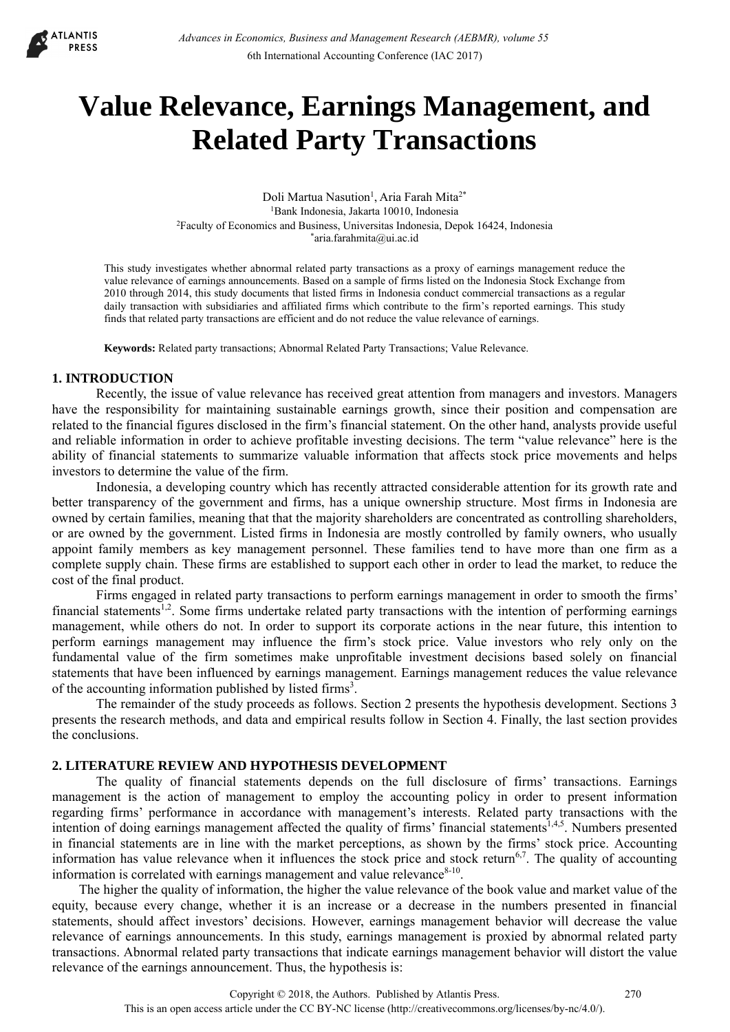

# **Value Relevance, Earnings Management, and Related Party Transactions**

Doli Martua Nasution<sup>1</sup>, Aria Farah Mita<sup>2\*</sup> 1Bank Indonesia, Jakarta 10010, Indonesia 2Faculty of Economics and Business, Universitas Indonesia, Depok 16424, Indonesia \*aria.farahmita@ui.ac.id

This study investigates whether abnormal related party transactions as a proxy of earnings management reduce the value relevance of earnings announcements. Based on a sample of firms listed on the Indonesia Stock Exchange from 2010 through 2014, this study documents that listed firms in Indonesia conduct commercial transactions as a regular daily transaction with subsidiaries and affiliated firms which contribute to the firm's reported earnings. This study finds that related party transactions are efficient and do not reduce the value relevance of earnings.

**Keywords:** Related party transactions; Abnormal Related Party Transactions; Value Relevance.

## **1. INTRODUCTION**

Recently, the issue of value relevance has received great attention from managers and investors. Managers have the responsibility for maintaining sustainable earnings growth, since their position and compensation are related to the financial figures disclosed in the firm's financial statement. On the other hand, analysts provide useful and reliable information in order to achieve profitable investing decisions. The term "value relevance" here is the ability of financial statements to summarize valuable information that affects stock price movements and helps investors to determine the value of the firm.

Indonesia, a developing country which has recently attracted considerable attention for its growth rate and better transparency of the government and firms, has a unique ownership structure. Most firms in Indonesia are owned by certain families, meaning that that the majority shareholders are concentrated as controlling shareholders, or are owned by the government. Listed firms in Indonesia are mostly controlled by family owners, who usually appoint family members as key management personnel. These families tend to have more than one firm as a complete supply chain. These firms are established to support each other in order to lead the market, to reduce the cost of the final product.

Firms engaged in related party transactions to perform earnings management in order to smooth the firms' financial statements<sup>1,2</sup>. Some firms undertake related party transactions with the intention of performing earnings management, while others do not. In order to support its corporate actions in the near future, this intention to perform earnings management may influence the firm's stock price. Value investors who rely only on the fundamental value of the firm sometimes make unprofitable investment decisions based solely on financial statements that have been influenced by earnings management. Earnings management reduces the value relevance of the accounting information published by listed firms<sup>3</sup>.

The remainder of the study proceeds as follows. Section 2 presents the hypothesis development. Sections 3 presents the research methods, and data and empirical results follow in Section 4. Finally, the last section provides the conclusions.

## **2. LITERATURE REVIEW AND HYPOTHESIS DEVELOPMENT**

The quality of financial statements depends on the full disclosure of firms' transactions. Earnings management is the action of management to employ the accounting policy in order to present information regarding firms' performance in accordance with management's interests. Related party transactions with the intention of doing earnings management affected the quality of firms' financial statements<sup>1,4,5</sup>. Numbers presented in financial statements are in line with the market perceptions, as shown by the firms' stock price. Accounting information has value relevance when it influences the stock price and stock return<sup>6,7</sup>. The quality of accounting information is correlated with earnings management and value relevance $8-10$ .

The higher the quality of information, the higher the value relevance of the book value and market value of the equity, because every change, whether it is an increase or a decrease in the numbers presented in financial statements, should affect investors' decisions. However, earnings management behavior will decrease the value relevance of earnings announcements. In this study, earnings management is proxied by abnormal related party transactions. Abnormal related party transactions that indicate earnings management behavior will distort the value relevance of the earnings announcement. Thus, the hypothesis is: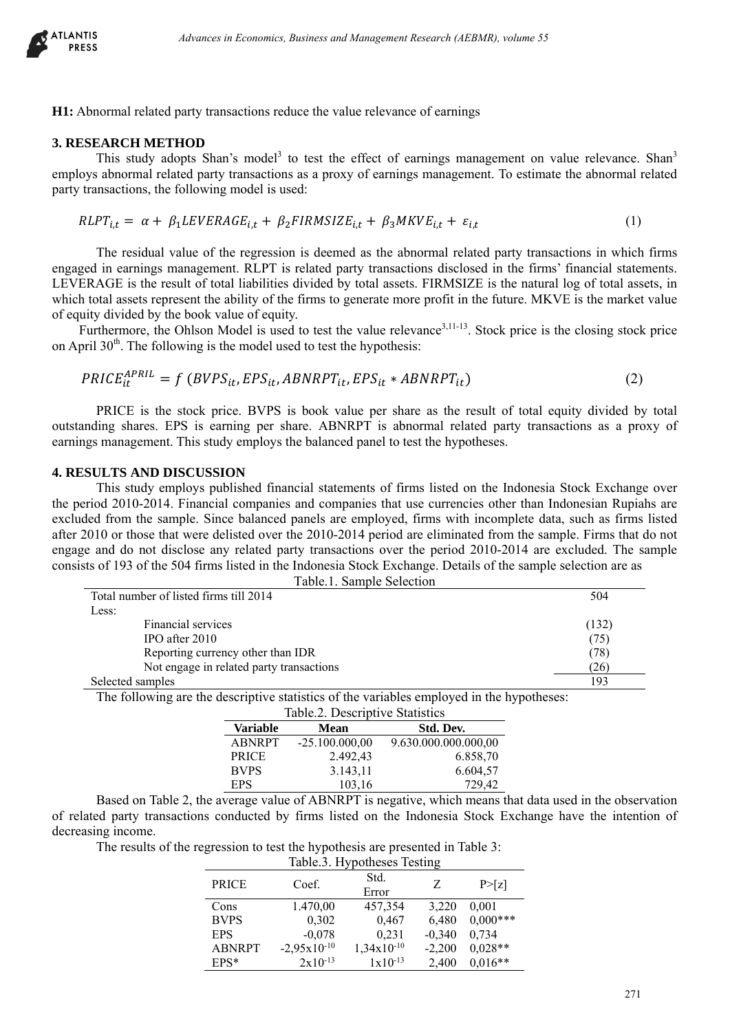

**H1:** Abnormal related party transactions reduce the value relevance of earnings

# **3. RESEARCH METHOD**

This study adopts Shan's model<sup>3</sup> to test the effect of earnings management on value relevance. Shan<sup>3</sup> employs abnormal related party transactions as a proxy of earnings management. To estimate the abnormal related party transactions, the following model is used:

$$
RLPT_{i,t} = \alpha + \beta_1 LEVERAGE_{i,t} + \beta_2 FIRMSIZE_{i,t} + \beta_3 MKVE_{i,t} + \varepsilon_{i,t}
$$
\n
$$
\tag{1}
$$

The residual value of the regression is deemed as the abnormal related party transactions in which firms engaged in earnings management. RLPT is related party transactions disclosed in the firms' financial statements. LEVERAGE is the result of total liabilities divided by total assets. FIRMSIZE is the natural log of total assets, in which total assets represent the ability of the firms to generate more profit in the future. MKVE is the market value of equity divided by the book value of equity.

Furthermore, the Ohlson Model is used to test the value relevance<sup>3,11-13</sup>. Stock price is the closing stock price on April  $30<sup>th</sup>$ . The following is the model used to test the hypothesis:

$$
PRICE_{it}^{APRIL} = f(BVPS_{it}, EPS_{it}, ABNRPT_{it}, EPS_{it} * ABNRPT_{it})
$$
\n(2)

PRICE is the stock price. BVPS is book value per share as the result of total equity divided by total outstanding shares. EPS is earning per share. ABNRPT is abnormal related party transactions as a proxy of earnings management. This study employs the balanced panel to test the hypotheses.

#### **4. RESULTS AND DISCUSSION**

This study employs published financial statements of firms listed on the Indonesia Stock Exchange over the period 2010-2014. Financial companies and companies that use currencies other than Indonesian Rupiahs are excluded from the sample. Since balanced panels are employed, firms with incomplete data, such as firms listed after 2010 or those that were delisted over the 2010-2014 period are eliminated from the sample. Firms that do not engage and do not disclose any related party transactions over the period 2010-2014 are excluded. The sample consists of 193 of the 504 firms listed in the Indonesia Stock Exchange. Details of the sample selection are as Table.1. Sample Selection

| ΠБ<br>:SS            | Advances in Economics, Business and Management Research (AEBMR), volume 55                                       |                                 |                                     |                                   |                      |                                                                                                                                                                                                                                                                                                                                                                                                                                                                                                                                                                     |  |
|----------------------|------------------------------------------------------------------------------------------------------------------|---------------------------------|-------------------------------------|-----------------------------------|----------------------|---------------------------------------------------------------------------------------------------------------------------------------------------------------------------------------------------------------------------------------------------------------------------------------------------------------------------------------------------------------------------------------------------------------------------------------------------------------------------------------------------------------------------------------------------------------------|--|
|                      | bnormal related party transactions reduce the value relevance of earnings                                        |                                 |                                     |                                   |                      |                                                                                                                                                                                                                                                                                                                                                                                                                                                                                                                                                                     |  |
| <b>SEARCH METHOD</b> | transactions, the following model is used:                                                                       |                                 |                                     |                                   |                      | This study adopts Shan's model <sup>3</sup> to test the effect of earnings management on value relevance.<br>bys abnormal related party transactions as a proxy of earnings management. To estimate the abnormal re                                                                                                                                                                                                                                                                                                                                                 |  |
|                      | $RLPT_{i,t} = \alpha + \beta_1 LEVERAGE_{i,t} + \beta_2 FIRMSIZE_{i,t} + \beta_3 MKVE_{i,t} + \varepsilon_{i,t}$ |                                 |                                     |                                   |                      | (1)                                                                                                                                                                                                                                                                                                                                                                                                                                                                                                                                                                 |  |
|                      | iity divided by the book value of equity.                                                                        |                                 |                                     |                                   |                      | The residual value of the regression is deemed as the abnormal related party transactions in which<br>ed in earnings management. RLPT is related party transactions disclosed in the firms' financial staten<br>ERAGE is the result of total liabilities divided by total assets. FIRMSIZE is the natural log of total asse<br>total assets represent the ability of the firms to generate more profit in the future. MKVE is the market<br>Furthermore, the Ohlson Model is used to test the value relevance <sup>3,11-13</sup> . Stock price is the closing stock |  |
|                      | ril $30th$ . The following is the model used to test the hypothesis:                                             |                                 |                                     |                                   |                      |                                                                                                                                                                                                                                                                                                                                                                                                                                                                                                                                                                     |  |
|                      | $PRICE_{it}^{APRIL} = f(BVPS_{it}, EPS_{it}, ABNRPT_{it}, EPS_{it} * ABNRPT_{it})$                               |                                 |                                     |                                   |                      | (2)                                                                                                                                                                                                                                                                                                                                                                                                                                                                                                                                                                 |  |
|                      | ags management. This study employs the balanced panel to test the hypotheses.                                    |                                 |                                     |                                   |                      | PRICE is the stock price. BVPS is book value per share as the result of total equity divided by<br>inding shares. EPS is earning per share. ABNRPT is abnormal related party transactions as a pro-                                                                                                                                                                                                                                                                                                                                                                 |  |
|                      | Total number of listed firms till 2014                                                                           |                                 | Table.1. Sample Selection           |                                   |                      | 2010 or those that were delisted over the 2010-2014 period are eliminated from the sample. Firms that d<br>e and do not disclose any related party transactions over the period 2010-2014 are excluded. The sale<br>sts of 193 of the 504 firms listed in the Indonesia Stock Exchange. Details of the sample selection are as<br>504                                                                                                                                                                                                                               |  |
| Less:                | Financial services                                                                                               |                                 |                                     |                                   |                      | (132)                                                                                                                                                                                                                                                                                                                                                                                                                                                                                                                                                               |  |
|                      | IPO after 2010<br>Reporting currency other than IDR                                                              |                                 |                                     |                                   |                      | (75)<br>(78)                                                                                                                                                                                                                                                                                                                                                                                                                                                                                                                                                        |  |
|                      | Not engage in related party transactions                                                                         |                                 |                                     |                                   |                      | (26)                                                                                                                                                                                                                                                                                                                                                                                                                                                                                                                                                                |  |
| Selected samples     | The following are the descriptive statistics of the variables employed in the hypotheses:                        |                                 |                                     |                                   |                      | 193                                                                                                                                                                                                                                                                                                                                                                                                                                                                                                                                                                 |  |
|                      |                                                                                                                  |                                 | Table.2. Descriptive Statistics     |                                   |                      |                                                                                                                                                                                                                                                                                                                                                                                                                                                                                                                                                                     |  |
|                      | <b>Variable</b><br><b>ABNRPT</b>                                                                                 | <b>Mean</b><br>$-25.100.000,00$ |                                     | Std. Dev.<br>9.630.000.000.000,00 |                      |                                                                                                                                                                                                                                                                                                                                                                                                                                                                                                                                                                     |  |
|                      | PRICE<br><b>BVPS</b>                                                                                             |                                 | 2.492,43<br>3.143,11                |                                   | 6.858,70<br>6.604,57 |                                                                                                                                                                                                                                                                                                                                                                                                                                                                                                                                                                     |  |
|                      | <b>EPS</b>                                                                                                       |                                 | 103,16                              |                                   | 729,42               |                                                                                                                                                                                                                                                                                                                                                                                                                                                                                                                                                                     |  |
|                      |                                                                                                                  |                                 |                                     |                                   |                      | Based on Table 2, the average value of ABNRPT is negative, which means that data used in the observ                                                                                                                                                                                                                                                                                                                                                                                                                                                                 |  |
| asing income.        |                                                                                                                  |                                 |                                     |                                   |                      | ated party transactions conducted by firms listed on the Indonesia Stock Exchange have the intention                                                                                                                                                                                                                                                                                                                                                                                                                                                                |  |
|                      | The results of the regression to test the hypothesis are presented in Table 3:                                   |                                 |                                     |                                   |                      |                                                                                                                                                                                                                                                                                                                                                                                                                                                                                                                                                                     |  |
|                      |                                                                                                                  |                                 | Table.3. Hypotheses Testing<br>Std. |                                   |                      |                                                                                                                                                                                                                                                                                                                                                                                                                                                                                                                                                                     |  |
|                      | <b>PRICE</b>                                                                                                     | Coef.                           | Error                               | Z                                 | P>[z]                |                                                                                                                                                                                                                                                                                                                                                                                                                                                                                                                                                                     |  |
|                      | Cons<br><b>BVPS</b>                                                                                              | 1.470,00<br>0,302               | 457,354<br>0,467                    | 3,220<br>6,480                    | 0,001<br>$0,000***$  |                                                                                                                                                                                                                                                                                                                                                                                                                                                                                                                                                                     |  |
|                      | <b>EPS</b>                                                                                                       | $-0,078$                        | 0,231                               | $-0,340$                          | 0,734                |                                                                                                                                                                                                                                                                                                                                                                                                                                                                                                                                                                     |  |
|                      | <b>ABNRPT</b>                                                                                                    | $-2,95x10^{-10}$                | $1,34x10^{-10}$                     | $-2,200$                          | $0,028**$            |                                                                                                                                                                                                                                                                                                                                                                                                                                                                                                                                                                     |  |
|                      | $EPS*$                                                                                                           | $2x10^{-13}$                    | $1x10^{-13}$                        | 2,400                             | $0,016**$            |                                                                                                                                                                                                                                                                                                                                                                                                                                                                                                                                                                     |  |
|                      |                                                                                                                  |                                 |                                     |                                   |                      | 271                                                                                                                                                                                                                                                                                                                                                                                                                                                                                                                                                                 |  |

| Table.2. Descriptive Statistics |                  |                      |  |  |  |
|---------------------------------|------------------|----------------------|--|--|--|
| <b>Variable</b>                 | <b>Mean</b>      | Std. Dev.            |  |  |  |
| <b>ABNRPT</b>                   | $-25.100.000,00$ | 9.630.000.000.000,00 |  |  |  |
| <b>PRICE</b>                    | 2.492,43         | 6.858,70             |  |  |  |
| <b>BVPS</b>                     | 3.143,11         | 6.604,57             |  |  |  |
| <b>EPS</b>                      | 103,16           | 729,42               |  |  |  |

Based on Table 2, the average value of ABNRPT is negative, which means that data used in the observation of related party transactions conducted by firms listed on the Indonesia Stock Exchange have the intention of decreasing income.

| Table.3. Hypotheses Testing |                  |                 |          |            |  |
|-----------------------------|------------------|-----------------|----------|------------|--|
| <b>PRICE</b>                | Coef.            | Std.<br>Error   | Z        | P > [z]    |  |
| Cons                        | 1.470,00         | 457,354         | 3,220    | 0,001      |  |
| <b>BVPS</b>                 | 0,302            | 0,467           | 6,480    | $0,000***$ |  |
| <b>EPS</b>                  | $-0,078$         | 0,231           | $-0,340$ | 0,734      |  |
| <b>ABNRPT</b>               | $-2,95x10^{-10}$ | $1,34x10^{-10}$ | $-2,200$ | $0.028**$  |  |
| $EPS*$                      | $2x10^{-13}$     | $1x10^{-13}$    | 2,400    | $0.016**$  |  |